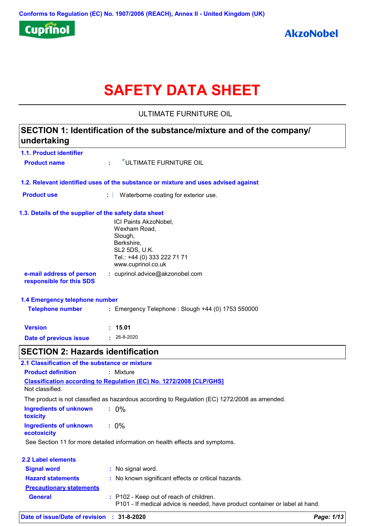

# **SAFETY DATA SHEET**

ULTIMATE FURNITURE OIL

### **1.1. Product identifier 1.3. Details of the supplier of the safety data sheet 1.2. Relevant identified uses of the substance or mixture and uses advised against SECTION 1: Identification of the substance/mixture and of the company/ undertaking Date of previous issue :** 26-8-2020 ICI Paints AkzoNobel, Wexham Road, Slough, Berkshire, SL2 5DS, U.K. Tel.: +44 (0) 333 222 71 71 www.cuprinol.co.uk **e-mail address of person responsible for this SDS :** cuprinol.advice@akzonobel.com **1.4 Emergency telephone number Version : 15.01 Product name :**  $\sqrt{\frac{1}{2}}$  ULTIMATE FURNITURE OIL **Product use <b>:** Waterborne coating for exterior use. **Telephone number :** Emergency Telephone : Slough +44 (0) 1753 550000 **SECTION 2: Hazards identification Classification according to Regulation (EC) No. 1272/2008 [CLP/GHS] 2.1 Classification of the substance or mixture Product definition :** Mixture

| ecotoxicity                     |                                                                                                                         |
|---------------------------------|-------------------------------------------------------------------------------------------------------------------------|
|                                 | See Section 11 for more detailed information on health effects and symptoms.                                            |
| 2.2 Label elements              |                                                                                                                         |
|                                 |                                                                                                                         |
| <b>Signal word</b>              | : No signal word.                                                                                                       |
| <b>Hazard statements</b>        | : No known significant effects or critical hazards.                                                                     |
| <b>Precautionary statements</b> |                                                                                                                         |
| <b>General</b>                  | : P102 - Keep out of reach of children.<br>P101 - If medical advice is needed, have product container or label at hand. |

**:** 0%

The product is not classified as hazardous according to Regulation (EC) 1272/2008 as amended.

**:** 0%

**Ingredients of unknown** 

**Ingredients of unknown** 

**toxicity**

Not classified.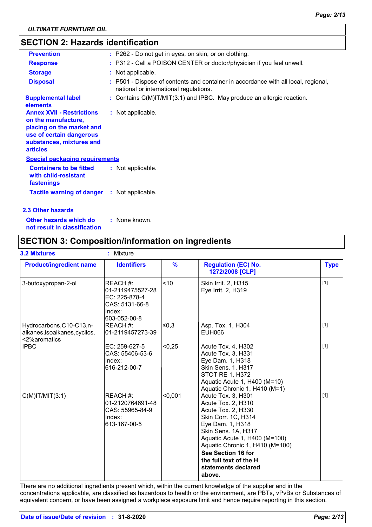### **SECTION 2: Hazards identification**

| <b>Prevention</b>                                                                                                                                               | : P262 - Do not get in eyes, on skin, or on clothing.                                                                        |
|-----------------------------------------------------------------------------------------------------------------------------------------------------------------|------------------------------------------------------------------------------------------------------------------------------|
| <b>Response</b>                                                                                                                                                 | : P312 - Call a POISON CENTER or doctor/physician if you feel unwell.                                                        |
| <b>Storage</b>                                                                                                                                                  | : Not applicable.                                                                                                            |
| <b>Disposal</b>                                                                                                                                                 | : P501 - Dispose of contents and container in accordance with all local, regional,<br>national or international regulations. |
| <b>Supplemental label</b><br>elements                                                                                                                           | : Contains C(M)IT/MIT(3:1) and IPBC. May produce an allergic reaction.                                                       |
| <b>Annex XVII - Restrictions</b><br>on the manufacture,<br>placing on the market and<br>use of certain dangerous<br>substances, mixtures and<br><b>articles</b> | : Not applicable.                                                                                                            |
| <b>Special packaging requirements</b>                                                                                                                           |                                                                                                                              |
| <b>Containers to be fitted</b><br>with child-resistant<br>fastenings                                                                                            | : Not applicable.                                                                                                            |
| <b>Tactile warning of danger : Not applicable.</b>                                                                                                              |                                                                                                                              |
| 2.3 Other hazards                                                                                                                                               |                                                                                                                              |

**Other hazards which do : not result in classification** : None known.

### **SECTION 3: Composition/information on ingredients**

| <b>3.2 Mixtures</b>                                                        | Mixture<br>ŧ.                                                                             |               |                                                                                                                                                                                                                                                                                       |             |
|----------------------------------------------------------------------------|-------------------------------------------------------------------------------------------|---------------|---------------------------------------------------------------------------------------------------------------------------------------------------------------------------------------------------------------------------------------------------------------------------------------|-------------|
| <b>Product/ingredient name</b>                                             | <b>Identifiers</b>                                                                        | $\frac{9}{6}$ | <b>Regulation (EC) No.</b><br>1272/2008 [CLP]                                                                                                                                                                                                                                         | <b>Type</b> |
| 3-butoxypropan-2-ol                                                        | REACH #:<br>01-2119475527-28<br>EC: 225-878-4<br>CAS: 5131-66-8<br>Index:<br>603-052-00-8 | < 10          | Skin Irrit. 2, H315<br>Eye Irrit. 2, H319                                                                                                                                                                                                                                             | $[1]$       |
| Hydrocarbons, C10-C13, n-<br>alkanes, isoalkanes, cyclics,<br><2%aromatics | REACH #:<br>01-2119457273-39                                                              | l≤0,3         | Asp. Tox. 1, H304<br>EUH066                                                                                                                                                                                                                                                           | $[1]$       |
| <b>IPBC</b>                                                                | $EC: 259-627-5$<br>CAS: 55406-53-6<br>Index:<br>616-212-00-7                              | < 0,25        | Acute Tox. 4, H302<br>Acute Tox. 3, H331<br>Eye Dam. 1, H318<br>Skin Sens. 1, H317<br><b>STOT RE 1, H372</b><br>Aquatic Acute 1, H400 (M=10)<br>Aquatic Chronic 1, H410 (M=1)                                                                                                         | $[1]$       |
| $C(M)$ IT/MIT $(3:1)$                                                      | REACH #:<br>01-2120764691-48<br>CAS: 55965-84-9<br>Index:<br>613-167-00-5                 | < 0.001       | Acute Tox. 3, H301<br>Acute Tox. 2, H310<br>Acute Tox. 2, H330<br>Skin Corr. 1C, H314<br>Eye Dam. 1, H318<br>Skin Sens. 1A, H317<br>Aquatic Acute 1, H400 (M=100)<br>Aquatic Chronic 1, H410 (M=100)<br>See Section 16 for<br>the full text of the H<br>statements declared<br>above. | $[1]$       |

There are no additional ingredients present which, within the current knowledge of the supplier and in the concentrations applicable, are classified as hazardous to health or the environment, are PBTs, vPvBs or Substances of equivalent concern, or have been assigned a workplace exposure limit and hence require reporting in this section.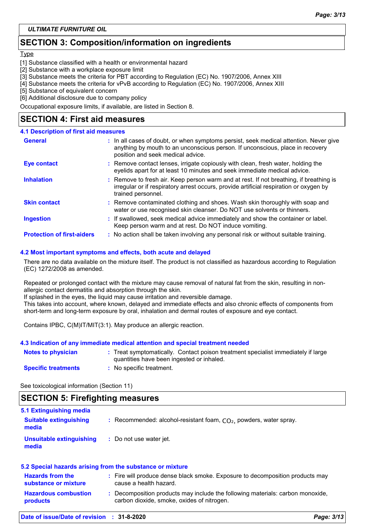### **SECTION 3: Composition/information on ingredients**

#### Type

- [1] Substance classified with a health or environmental hazard
- [2] Substance with a workplace exposure limit
- [3] Substance meets the criteria for PBT according to Regulation (EC) No. 1907/2006, Annex XIII
- [4] Substance meets the criteria for vPvB according to Regulation (EC) No. 1907/2006, Annex XIII
- [5] Substance of equivalent concern
- [6] Additional disclosure due to company policy

Occupational exposure limits, if available, are listed in Section 8.

### **SECTION 4: First aid measures**

#### **4.1 Description of first aid measures**

| <b>General</b>                    | : In all cases of doubt, or when symptoms persist, seek medical attention. Never give<br>anything by mouth to an unconscious person. If unconscious, place in recovery<br>position and seek medical advice. |
|-----------------------------------|-------------------------------------------------------------------------------------------------------------------------------------------------------------------------------------------------------------|
| <b>Eye contact</b>                | : Remove contact lenses, irrigate copiously with clean, fresh water, holding the<br>eyelids apart for at least 10 minutes and seek immediate medical advice.                                                |
| <b>Inhalation</b>                 | : Remove to fresh air. Keep person warm and at rest. If not breathing, if breathing is<br>irregular or if respiratory arrest occurs, provide artificial respiration or oxygen by<br>trained personnel.      |
| <b>Skin contact</b>               | : Remove contaminated clothing and shoes. Wash skin thoroughly with soap and<br>water or use recognised skin cleanser. Do NOT use solvents or thinners.                                                     |
| <b>Ingestion</b>                  | : If swallowed, seek medical advice immediately and show the container or label.<br>Keep person warm and at rest. Do NOT induce vomiting.                                                                   |
| <b>Protection of first-aiders</b> | : No action shall be taken involving any personal risk or without suitable training.                                                                                                                        |

#### **4.2 Most important symptoms and effects, both acute and delayed**

There are no data available on the mixture itself. The product is not classified as hazardous according to Regulation (EC) 1272/2008 as amended.

Repeated or prolonged contact with the mixture may cause removal of natural fat from the skin, resulting in nonallergic contact dermatitis and absorption through the skin.

If splashed in the eyes, the liquid may cause irritation and reversible damage.

This takes into account, where known, delayed and immediate effects and also chronic effects of components from short-term and long-term exposure by oral, inhalation and dermal routes of exposure and eye contact.

Contains IPBC, C(M)IT/MIT(3:1). May produce an allergic reaction.

#### **4.3 Indication of any immediate medical attention and special treatment needed**

| <b>Notes to physician</b>  | : Treat symptomatically. Contact poison treatment specialist immediately if large<br>quantities have been ingested or inhaled. |
|----------------------------|--------------------------------------------------------------------------------------------------------------------------------|
| <b>Specific treatments</b> | : No specific treatment.                                                                                                       |

See toxicological information (Section 11)

### **SECTION 5: Firefighting measures**

| <b>Hazardous combustion</b><br>products         | : Decomposition products may include the following materials: carbon monoxide,<br>carbon dioxide, smoke, oxides of nitrogen. |  |
|-------------------------------------------------|------------------------------------------------------------------------------------------------------------------------------|--|
| <b>Hazards from the</b><br>substance or mixture | : Fire will produce dense black smoke. Exposure to decomposition products may<br>cause a health hazard.                      |  |
|                                                 | 5.2 Special hazards arising from the substance or mixture                                                                    |  |
| Unsuitable extinguishing<br>media               | : Do not use water jet.                                                                                                      |  |
| <b>Suitable extinguishing</b><br>media          | : Recommended: alcohol-resistant foam, $CO2$ , powders, water spray.                                                         |  |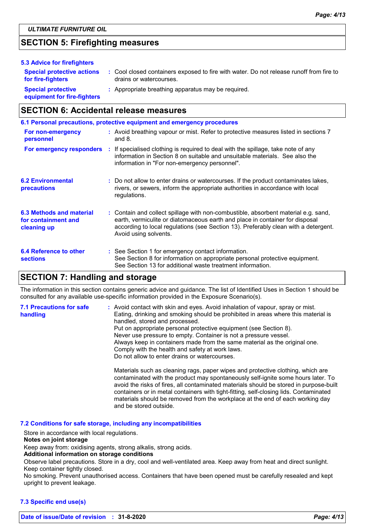### **SECTION 5: Firefighting measures**

| 5.3 Advice for firefighters                              |                                                                                                                    |
|----------------------------------------------------------|--------------------------------------------------------------------------------------------------------------------|
| <b>Special protective actions</b><br>for fire-fighters   | : Cool closed containers exposed to fire with water. Do not release runoff from fire to<br>drains or watercourses. |
| <b>Special protective</b><br>equipment for fire-fighters | : Appropriate breathing apparatus may be required.                                                                 |

### **SECTION 6: Accidental release measures**

|                                                                | 6.1 Personal precautions, protective equipment and emergency procedures                                                                                                                                                                                                            |
|----------------------------------------------------------------|------------------------------------------------------------------------------------------------------------------------------------------------------------------------------------------------------------------------------------------------------------------------------------|
| For non-emergency<br>personnel                                 | : Avoid breathing vapour or mist. Refer to protective measures listed in sections 7<br>and $8.$                                                                                                                                                                                    |
|                                                                | For emergency responders : If specialised clothing is required to deal with the spillage, take note of any<br>information in Section 8 on suitable and unsuitable materials. See also the<br>information in "For non-emergency personnel".                                         |
| <b>6.2 Environmental</b><br>precautions                        | : Do not allow to enter drains or watercourses. If the product contaminates lakes,<br>rivers, or sewers, inform the appropriate authorities in accordance with local<br>regulations.                                                                                               |
| 6.3 Methods and material<br>for containment and<br>cleaning up | : Contain and collect spillage with non-combustible, absorbent material e.g. sand,<br>earth, vermiculite or diatomaceous earth and place in container for disposal<br>according to local regulations (see Section 13). Preferably clean with a detergent.<br>Avoid using solvents. |
| 6.4 Reference to other<br><b>sections</b>                      | : See Section 1 for emergency contact information.<br>See Section 8 for information on appropriate personal protective equipment.<br>See Section 13 for additional waste treatment information.                                                                                    |

### **SECTION 7: Handling and storage**

The information in this section contains generic advice and guidance. The list of Identified Uses in Section 1 should be consulted for any available use-specific information provided in the Exposure Scenario(s).

| <b>7.1 Precautions for safe</b><br>handling | : Avoid contact with skin and eyes. Avoid inhalation of vapour, spray or mist.<br>Eating, drinking and smoking should be prohibited in areas where this material is<br>handled, stored and processed.<br>Put on appropriate personal protective equipment (see Section 8).<br>Never use pressure to empty. Container is not a pressure vessel.<br>Always keep in containers made from the same material as the original one.<br>Comply with the health and safety at work laws.<br>Do not allow to enter drains or watercourses. |
|---------------------------------------------|----------------------------------------------------------------------------------------------------------------------------------------------------------------------------------------------------------------------------------------------------------------------------------------------------------------------------------------------------------------------------------------------------------------------------------------------------------------------------------------------------------------------------------|
|                                             | Materials such as cleaning rags, paper wipes and protective clothing, which are<br>contaminated with the product may spontaneously self-ignite some hours later. To<br>avoid the risks of fires, all contaminated materials should be stored in purpose-built<br>containers or in metal containers with tight-fitting, self-closing lids. Contaminated<br>materials should be removed from the workplace at the end of each working day                                                                                          |

### **7.2 Conditions for safe storage, including any incompatibilities**

and be stored outside.

Store in accordance with local regulations.

#### **Notes on joint storage**

Keep away from: oxidising agents, strong alkalis, strong acids.

#### **Additional information on storage conditions**

Observe label precautions. Store in a dry, cool and well-ventilated area. Keep away from heat and direct sunlight. Keep container tightly closed.

No smoking. Prevent unauthorised access. Containers that have been opened must be carefully resealed and kept upright to prevent leakage.

#### **7.3 Specific end use(s)**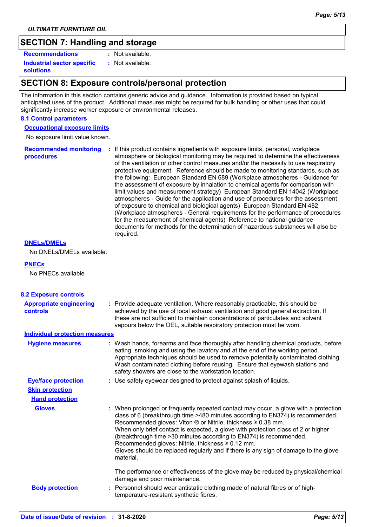*ULTIMATE FURNITURE OIL*

### **SECTION 7: Handling and storage**

**Recommendations :**

**Industrial sector specific : solutions**

: Not available.

Not available.

### **SECTION 8: Exposure controls/personal protection**

The information in this section contains generic advice and guidance. Information is provided based on typical anticipated uses of the product. Additional measures might be required for bulk handling or other uses that could significantly increase worker exposure or environmental releases.

#### **8.1 Control parameters**

**Occupational exposure limits**

No exposure limit value known.

**Recommended monitoring procedures :** If this product contains ingredients with exposure limits, personal, workplace atmosphere or biological monitoring may be required to determine the effectiveness of the ventilation or other control measures and/or the necessity to use respiratory protective equipment. Reference should be made to monitoring standards, such as the following: European Standard EN 689 (Workplace atmospheres - Guidance for the assessment of exposure by inhalation to chemical agents for comparison with limit values and measurement strategy) European Standard EN 14042 (Workplace atmospheres - Guide for the application and use of procedures for the assessment of exposure to chemical and biological agents) European Standard EN 482 (Workplace atmospheres - General requirements for the performance of procedures for the measurement of chemical agents) Reference to national guidance documents for methods for the determination of hazardous substances will also be required.

#### **DNELs/DMELs**

No DNELs/DMELs available.

#### **PNECs**

No PNECs available

| <b>8.2 Exposure controls</b>                      |                                                                                                                                                                                                                                                                                                                                                                                                                                                                                                                                                                          |
|---------------------------------------------------|--------------------------------------------------------------------------------------------------------------------------------------------------------------------------------------------------------------------------------------------------------------------------------------------------------------------------------------------------------------------------------------------------------------------------------------------------------------------------------------------------------------------------------------------------------------------------|
| <b>Appropriate engineering</b><br><b>controls</b> | : Provide adequate ventilation. Where reasonably practicable, this should be<br>achieved by the use of local exhaust ventilation and good general extraction. If<br>these are not sufficient to maintain concentrations of particulates and solvent<br>vapours below the OEL, suitable respiratory protection must be worn.                                                                                                                                                                                                                                              |
| <b>Individual protection measures</b>             |                                                                                                                                                                                                                                                                                                                                                                                                                                                                                                                                                                          |
| <b>Hygiene measures</b>                           | : Wash hands, forearms and face thoroughly after handling chemical products, before<br>eating, smoking and using the lavatory and at the end of the working period.<br>Appropriate techniques should be used to remove potentially contaminated clothing.<br>Wash contaminated clothing before reusing. Ensure that eyewash stations and<br>safety showers are close to the workstation location.                                                                                                                                                                        |
| <b>Eye/face protection</b>                        | : Use safety eyewear designed to protect against splash of liquids.                                                                                                                                                                                                                                                                                                                                                                                                                                                                                                      |
| <b>Skin protection</b>                            |                                                                                                                                                                                                                                                                                                                                                                                                                                                                                                                                                                          |
| <b>Hand protection</b>                            |                                                                                                                                                                                                                                                                                                                                                                                                                                                                                                                                                                          |
| <b>Gloves</b>                                     | : When prolonged or frequently repeated contact may occur, a glove with a protection<br>class of 6 (breakthrough time >480 minutes according to EN374) is recommended.<br>Recommended gloves: Viton $\otimes$ or Nitrile, thickness $\geq 0.38$ mm.<br>When only brief contact is expected, a glove with protection class of 2 or higher<br>(breakthrough time > 30 minutes according to EN374) is recommended.<br>Recommended gloves: Nitrile, thickness ≥ 0.12 mm.<br>Gloves should be replaced regularly and if there is any sign of damage to the glove<br>material. |
| <b>Body protection</b>                            | The performance or effectiveness of the glove may be reduced by physical/chemical<br>damage and poor maintenance.<br>: Personnel should wear antistatic clothing made of natural fibres or of high-<br>temperature-resistant synthetic fibres.                                                                                                                                                                                                                                                                                                                           |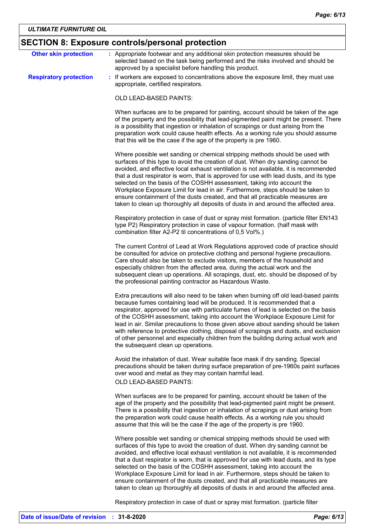## **SECTION 8: Exposure controls/personal protection**

| <b>Other skin protection</b>  | : Appropriate footwear and any additional skin protection measures should be<br>selected based on the task being performed and the risks involved and should be<br>approved by a specialist before handling this product.                                                                                                                                                                                                                                                                                                                                                                                                                                                               |
|-------------------------------|-----------------------------------------------------------------------------------------------------------------------------------------------------------------------------------------------------------------------------------------------------------------------------------------------------------------------------------------------------------------------------------------------------------------------------------------------------------------------------------------------------------------------------------------------------------------------------------------------------------------------------------------------------------------------------------------|
| <b>Respiratory protection</b> | : If workers are exposed to concentrations above the exposure limit, they must use<br>appropriate, certified respirators.                                                                                                                                                                                                                                                                                                                                                                                                                                                                                                                                                               |
|                               | OLD LEAD-BASED PAINTS:                                                                                                                                                                                                                                                                                                                                                                                                                                                                                                                                                                                                                                                                  |
|                               | When surfaces are to be prepared for painting, account should be taken of the age<br>of the property and the possibility that lead-pigmented paint might be present. There<br>is a possibility that ingestion or inhalation of scrapings or dust arising from the<br>preparation work could cause health effects. As a working rule you should assume<br>that this will be the case if the age of the property is pre 1960.                                                                                                                                                                                                                                                             |
|                               | Where possible wet sanding or chemical stripping methods should be used with<br>surfaces of this type to avoid the creation of dust. When dry sanding cannot be<br>avoided, and effective local exhaust ventilation is not available, it is recommended<br>that a dust respirator is worn, that is approved for use with lead dusts, and its type<br>selected on the basis of the COSHH assessment, taking into account the<br>Workplace Exposure Limit for lead in air. Furthermore, steps should be taken to<br>ensure containment of the dusts created, and that all practicable measures are<br>taken to clean up thoroughly all deposits of dusts in and around the affected area. |
|                               | Respiratory protection in case of dust or spray mist formation. (particle filter EN143<br>type P2) Respiratory protection in case of vapour formation. (half mask with<br>combination filter A2-P2 til concentrations of 0,5 Vol%.)                                                                                                                                                                                                                                                                                                                                                                                                                                                     |
|                               | The current Control of Lead at Work Regulations approved code of practice should<br>be consulted for advice on protective clothing and personal hygiene precautions.<br>Care should also be taken to exclude visitors, members of the household and<br>especially children from the affected area, during the actual work and the<br>subsequent clean up operations. All scrapings, dust, etc. should be disposed of by<br>the professional painting contractor as Hazardous Waste.                                                                                                                                                                                                     |
|                               | Extra precautions will also need to be taken when burning off old lead-based paints<br>because fumes containing lead will be produced. It is recommended that a<br>respirator, approved for use with particulate fumes of lead is selected on the basis<br>of the COSHH assessment, taking into account the Workplace Exposure Limit for<br>lead in air. Similar precautions to those given above about sanding should be taken<br>with reference to protective clothing, disposal of scrapings and dusts, and exclusion<br>of other personnel and especially children from the building during actual work and<br>the subsequent clean up operations.                                  |
|                               | Avoid the inhalation of dust. Wear suitable face mask if dry sanding. Special<br>precautions should be taken during surface preparation of pre-1960s paint surfaces<br>over wood and metal as they may contain harmful lead.<br>OLD LEAD-BASED PAINTS:                                                                                                                                                                                                                                                                                                                                                                                                                                  |
|                               | When surfaces are to be prepared for painting, account should be taken of the<br>age of the property and the possibility that lead-pigmented paint might be present.<br>There is a possibility that ingestion or inhalation of scrapings or dust arising from<br>the preparation work could cause health effects. As a working rule you should<br>assume that this will be the case if the age of the property is pre 1960.                                                                                                                                                                                                                                                             |
|                               | Where possible wet sanding or chemical stripping methods should be used with<br>surfaces of this type to avoid the creation of dust. When dry sanding cannot be<br>avoided, and effective local exhaust ventilation is not available, it is recommended<br>that a dust respirator is worn, that is approved for use with lead dusts, and its type<br>selected on the basis of the COSHH assessment, taking into account the<br>Workplace Exposure Limit for lead in air. Furthermore, steps should be taken to<br>ensure containment of the dusts created, and that all practicable measures are<br>taken to clean up thoroughly all deposits of dusts in and around the affected area. |
|                               | Respiratory protection in case of dust or spray mist formation. (particle filter                                                                                                                                                                                                                                                                                                                                                                                                                                                                                                                                                                                                        |

**Date of issue/Date of revision : 31-8-2020** *Page: 6/13*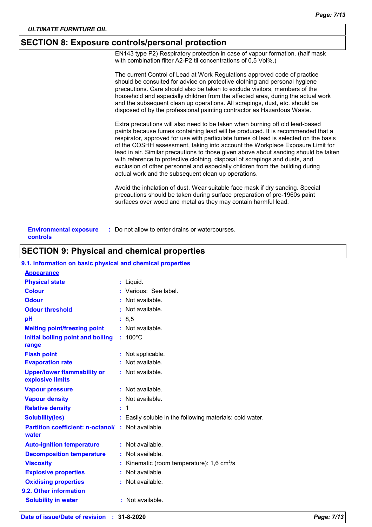### **SECTION 8: Exposure controls/personal protection**

EN143 type P2) Respiratory protection in case of vapour formation. (half mask with combination filter A2-P2 til concentrations of 0,5 Vol%.)

|                               | The current Control of Lead at Work Regulations approved code of practice<br>should be consulted for advice on protective clothing and personal hygiene<br>precautions. Care should also be taken to exclude visitors, members of the<br>household and especially children from the affected area, during the actual work<br>and the subsequent clean up operations. All scrapings, dust, etc. should be<br>disposed of by the professional painting contractor as Hazardous Waste.                                                                                                                                                                    |
|-------------------------------|--------------------------------------------------------------------------------------------------------------------------------------------------------------------------------------------------------------------------------------------------------------------------------------------------------------------------------------------------------------------------------------------------------------------------------------------------------------------------------------------------------------------------------------------------------------------------------------------------------------------------------------------------------|
|                               | Extra precautions will also need to be taken when burning off old lead-based<br>paints because fumes containing lead will be produced. It is recommended that a<br>respirator, approved for use with particulate fumes of lead is selected on the basis<br>of the COSHH assessment, taking into account the Workplace Exposure Limit for<br>lead in air. Similar precautions to those given above about sanding should be taken<br>with reference to protective clothing, disposal of scrapings and dusts, and<br>exclusion of other personnel and especially children from the building during<br>actual work and the subsequent clean up operations. |
|                               | Avoid the inhalation of dust. Wear suitable face mask if dry sanding. Special<br>precautions should be taken during surface preparation of pre-1960s paint<br>surfaces over wood and metal as they may contain harmful lead.                                                                                                                                                                                                                                                                                                                                                                                                                           |
| <b>Environmental exposure</b> | : Do not allow to enter drains or watercourses.                                                                                                                                                                                                                                                                                                                                                                                                                                                                                                                                                                                                        |

**controls**

### **SECTION 9: Physical and chemical properties**

#### **9.1. Information on basic physical and chemical properties**

| <b>Appearance</b>                                      |    |                                                          |
|--------------------------------------------------------|----|----------------------------------------------------------|
| <b>Physical state</b>                                  |    | : Liquid.                                                |
| <b>Colour</b>                                          |    | Various: See label.                                      |
| <b>Odour</b>                                           |    | Not available.                                           |
| <b>Odour threshold</b>                                 |    | Not available.                                           |
| рH                                                     |    | : 8,5                                                    |
| <b>Melting point/freezing point</b>                    |    | $:$ Not available.                                       |
| Initial boiling point and boiling<br>range             |    | $: 100^{\circ}$ C                                        |
| <b>Flash point</b>                                     |    | Not applicable.                                          |
| <b>Evaporation rate</b>                                |    | Not available.                                           |
| <b>Upper/lower flammability or</b><br>explosive limits |    | $:$ Not available.                                       |
| <b>Vapour pressure</b>                                 |    | $:$ Not available.                                       |
| <b>Vapour density</b>                                  |    | $:$ Not available.                                       |
| <b>Relative density</b>                                | t. | $\overline{1}$                                           |
| <b>Solubility(ies)</b>                                 |    | : Easily soluble in the following materials: cold water. |
| <b>Partition coefficient: n-octanol/</b><br>water      |    | : Not available.                                         |
| <b>Auto-ignition temperature</b>                       |    | : Not available.                                         |
| <b>Decomposition temperature</b>                       |    | Not available.                                           |
| <b>Viscosity</b>                                       |    | Kinematic (room temperature): $1,6$ cm <sup>2</sup> /s   |
| <b>Explosive properties</b>                            |    | Not available.                                           |
| <b>Oxidising properties</b>                            |    | : Not available.                                         |
| 9.2. Other information                                 |    |                                                          |
| <b>Solubility in water</b>                             |    | $:$ Not available.                                       |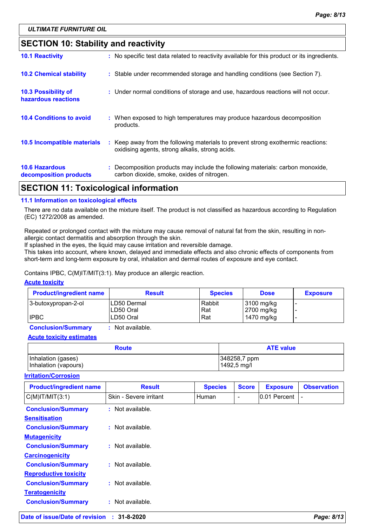### **SECTION 10: Stability and reactivity**

| APARIALI <i>II</i>                              | .                                                                                                                                   |
|-------------------------------------------------|-------------------------------------------------------------------------------------------------------------------------------------|
| <b>10.6 Hazardous</b><br>decomposition products | : Decomposition products may include the following materials: carbon monoxide,<br>carbon dioxide, smoke, oxides of nitrogen.        |
| 10.5 Incompatible materials                     | : Keep away from the following materials to prevent strong exothermic reactions:<br>oxidising agents, strong alkalis, strong acids. |
| <b>10.4 Conditions to avoid</b>                 | : When exposed to high temperatures may produce hazardous decomposition<br>products.                                                |
| 10.3 Possibility of<br>hazardous reactions      | : Under normal conditions of storage and use, hazardous reactions will not occur.                                                   |
| <b>10.2 Chemical stability</b>                  | : Stable under recommended storage and handling conditions (see Section 7).                                                         |
| <b>10.1 Reactivity</b>                          | : No specific test data related to reactivity available for this product or its ingredients.                                        |

### **SECTION 11: Toxicological information**

#### **11.1 Information on toxicological effects**

There are no data available on the mixture itself. The product is not classified as hazardous according to Regulation (EC) 1272/2008 as amended.

Repeated or prolonged contact with the mixture may cause removal of natural fat from the skin, resulting in nonallergic contact dermatitis and absorption through the skin.

If splashed in the eyes, the liquid may cause irritation and reversible damage.

This takes into account, where known, delayed and immediate effects and also chronic effects of components from short-term and long-term exposure by oral, inhalation and dermal routes of exposure and eye contact.

Contains IPBC, C(M)IT/MIT(3:1). May produce an allergic reaction.

#### **Acute toxicity**

| <b>Product/ingredient name</b> | <b>Result</b>              | <b>Species</b> | <b>Dose</b>              | <b>Exposure</b> |
|--------------------------------|----------------------------|----------------|--------------------------|-----------------|
| 3-butoxypropan-2-ol            | ILD50 Dermal<br>ILD50 Oral | Rabbit<br>Rat  | 3100 mg/kg<br>2700 mg/kg |                 |
| <b>IPBC</b>                    | LD50 Oral                  | Rat            | 1470 mg/kg               |                 |

**Conclusion/Summary :** Not available.

**Acute toxicity estimates**

| <b>Route</b>         | <b>ATE value</b> |
|----------------------|------------------|
| Inhalation (gases)   | 348258,7 ppm     |
| Inhalation (vapours) | 1492,5 mg/l      |

#### **Irritation/Corrosion**

| <b>Product/ingredient name</b>                    | <b>Result</b>          | <b>Species</b> | <b>Score</b> | <b>Exposure</b> | <b>Observation</b> |
|---------------------------------------------------|------------------------|----------------|--------------|-----------------|--------------------|
| $C(M)$ IT/MIT $(3:1)$                             | Skin - Severe irritant | <b>Human</b>   |              | 0.01 Percent    |                    |
| <b>Conclusion/Summary</b><br><b>Sensitisation</b> | : Not available.       |                |              |                 |                    |
| <b>Conclusion/Summary</b>                         | $:$ Not available.     |                |              |                 |                    |
| <b>Mutagenicity</b>                               |                        |                |              |                 |                    |
| <b>Conclusion/Summary</b>                         | $:$ Not available.     |                |              |                 |                    |
| <b>Carcinogenicity</b>                            |                        |                |              |                 |                    |
| <b>Conclusion/Summary</b>                         | $:$ Not available.     |                |              |                 |                    |
| <b>Reproductive toxicity</b>                      |                        |                |              |                 |                    |
| <b>Conclusion/Summary</b>                         | : Not available.       |                |              |                 |                    |
| <b>Teratogenicity</b>                             |                        |                |              |                 |                    |
| <b>Conclusion/Summary</b>                         | : Not available.       |                |              |                 |                    |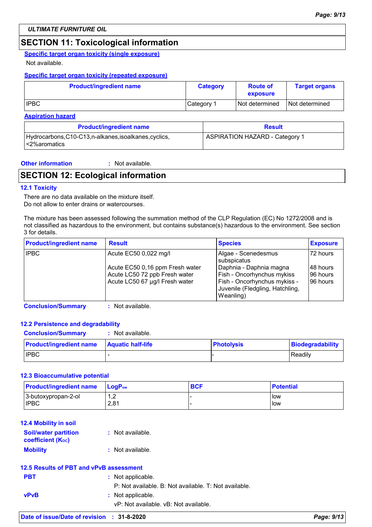### **SECTION 11: Toxicological information**

#### **Specific target organ toxicity (single exposure)**

#### Not available.

#### **Specific target organ toxicity (repeated exposure)**

| <b>Product/ingredient name</b> | <b>Category</b>       | <b>Route of</b><br>exposure | <b>Target organs</b> |
|--------------------------------|-----------------------|-----------------------------|----------------------|
| <b>IPBC</b>                    | Category <sup>1</sup> | Not determined              | I Not determined     |

#### **Aspiration hazard**

| <b>Product/ingredient name</b>                                           | <b>Result</b>                         |
|--------------------------------------------------------------------------|---------------------------------------|
| Hydrocarbons, C10-C13, n-alkanes, isoalkanes, cyclics,<br>l <2%aromatics | <b>ASPIRATION HAZARD - Category 1</b> |

**Other information :**

: Not available.

### **SECTION 12: Ecological information**

#### **12.1 Toxicity**

There are no data available on the mixture itself. Do not allow to enter drains or watercourses.

The mixture has been assessed following the summation method of the CLP Regulation (EC) No 1272/2008 and is not classified as hazardous to the environment, but contains substance(s) hazardous to the environment. See section 3 for details.

| <b>Product/ingredient name</b> | <b>Result</b>                                                                                                               | <b>Species</b>                                                                                                                                                              | <b>Exposure</b>                                |
|--------------------------------|-----------------------------------------------------------------------------------------------------------------------------|-----------------------------------------------------------------------------------------------------------------------------------------------------------------------------|------------------------------------------------|
| <b>IPBC</b>                    | Acute EC50 0,022 mg/l<br>Acute EC50 0,16 ppm Fresh water<br>Acute LC50 72 ppb Fresh water<br>Acute LC50 67 µg/l Fresh water | Algae - Scenedesmus<br>subspicatus<br>Daphnia - Daphnia magna<br>Fish - Oncorhynchus mykiss<br>Fish - Oncorhynchus mykiss -<br>Juvenile (Fledgling, Hatchling,<br>Weanling) | 172 hours<br>I48 hours<br>96 hours<br>96 hours |

**Conclusion/Summary :** Not available.

#### **12.2 Persistence and degradability**

#### **Conclusion/Summary :** Not available.

| <b>Product/ingredient name</b> | <b>Aquatic half-life</b> | <b>Photolysis</b> | Biodegradability |
|--------------------------------|--------------------------|-------------------|------------------|
| <b>IPBC</b>                    |                          |                   | Readily          |

#### **12.3 Bioaccumulative potential**

| <b>Product/ingredient name</b> | $\mathsf{LocP}_\mathsf{ow}$ | <b>BCF</b> | <b>Potential</b> |
|--------------------------------|-----------------------------|------------|------------------|
| 3-butoxypropan-2-ol            | ے, ا                        |            | <b>low</b>       |
| <b>IPBC</b>                    | 2.81                        |            | llow             |

#### **12.4 Mobility in soil**

| <b>Soil/water partition</b><br><b>coefficient (Koc)</b> | : Not available. |
|---------------------------------------------------------|------------------|
| <b>Mobility</b>                                         | : Not available. |

### **12.5 Results of PBT and vPvB assessment**

| <b>PBT</b>  | : Not applicable.<br>P: Not available, B: Not available, T: Not available, |
|-------------|----------------------------------------------------------------------------|
| <b>vPvB</b> | : Not applicable.<br>vP: Not available. vB: Not available.                 |
|             |                                                                            |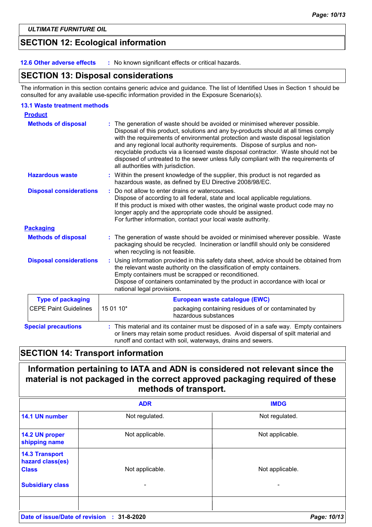### **SECTION 12: Ecological information**

**12.6 Other adverse effects :** No known significant effects or critical hazards.

### **SECTION 13: Disposal considerations**

The information in this section contains generic advice and guidance. The list of Identified Uses in Section 1 should be consulted for any available use-specific information provided in the Exposure Scenario(s).

#### **13.1 Waste treatment methods**

| <b>Product</b>                                                                                                                                                       |                                                                                                                                                                                                                                                                                                                                                                                                                                                                                                                                                    |  |  |
|----------------------------------------------------------------------------------------------------------------------------------------------------------------------|----------------------------------------------------------------------------------------------------------------------------------------------------------------------------------------------------------------------------------------------------------------------------------------------------------------------------------------------------------------------------------------------------------------------------------------------------------------------------------------------------------------------------------------------------|--|--|
| <b>Methods of disposal</b>                                                                                                                                           | The generation of waste should be avoided or minimised wherever possible.<br>Disposal of this product, solutions and any by-products should at all times comply<br>with the requirements of environmental protection and waste disposal legislation<br>and any regional local authority requirements. Dispose of surplus and non-<br>recyclable products via a licensed waste disposal contractor. Waste should not be<br>disposed of untreated to the sewer unless fully compliant with the requirements of<br>all authorities with jurisdiction. |  |  |
| <b>Hazardous waste</b><br>: Within the present knowledge of the supplier, this product is not regarded as<br>hazardous waste, as defined by EU Directive 2008/98/EC. |                                                                                                                                                                                                                                                                                                                                                                                                                                                                                                                                                    |  |  |
| <b>Disposal considerations</b>                                                                                                                                       | Do not allow to enter drains or watercourses.<br>÷<br>Dispose of according to all federal, state and local applicable regulations.<br>If this product is mixed with other wastes, the original waste product code may no<br>longer apply and the appropriate code should be assigned.<br>For further information, contact your local waste authority.                                                                                                                                                                                              |  |  |
| <b>Packaging</b>                                                                                                                                                     |                                                                                                                                                                                                                                                                                                                                                                                                                                                                                                                                                    |  |  |
| <b>Methods of disposal</b>                                                                                                                                           | : The generation of waste should be avoided or minimised wherever possible. Waste<br>packaging should be recycled. Incineration or landfill should only be considered<br>when recycling is not feasible.                                                                                                                                                                                                                                                                                                                                           |  |  |
| <b>Disposal considerations</b>                                                                                                                                       | Using information provided in this safety data sheet, advice should be obtained from<br>÷.<br>the relevant waste authority on the classification of empty containers.<br>Empty containers must be scrapped or reconditioned.<br>Dispose of containers contaminated by the product in accordance with local or<br>national legal provisions.                                                                                                                                                                                                        |  |  |
| <b>Type of packaging</b>                                                                                                                                             | European waste catalogue (EWC)                                                                                                                                                                                                                                                                                                                                                                                                                                                                                                                     |  |  |
| <b>CEPE Paint Guidelines</b>                                                                                                                                         | 15 01 10*<br>packaging containing residues of or contaminated by<br>hazardous substances                                                                                                                                                                                                                                                                                                                                                                                                                                                           |  |  |
| <b>Special precautions</b>                                                                                                                                           | : This material and its container must be disposed of in a safe way. Empty containers<br>or liners may retain some product residues. Avoid dispersal of spilt material and<br>runoff and contact with soil, waterways, drains and sewers.                                                                                                                                                                                                                                                                                                          |  |  |

### **SECTION 14: Transport information**

### **Information pertaining to IATA and ADN is considered not relevant since the material is not packaged in the correct approved packaging required of these methods of transport.**

|                                                           | <b>ADR</b>       | <b>IMDG</b>     |
|-----------------------------------------------------------|------------------|-----------------|
| 14.1 UN number                                            | Not regulated.   | Not regulated.  |
| 14.2 UN proper<br>shipping name                           | Not applicable.  | Not applicable. |
| <b>14.3 Transport</b><br>hazard class(es)<br><b>Class</b> | Not applicable.  | Not applicable. |
| <b>Subsidiary class</b>                                   |                  |                 |
|                                                           |                  |                 |
| Date of issue/Date of revision                            | 31-8-2020<br>-11 | Page: 10/13     |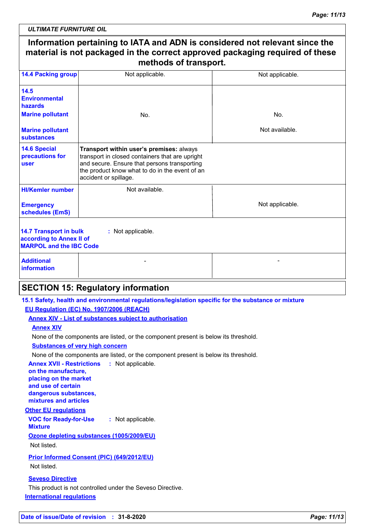*ULTIMATE FURNITURE OIL*

#### **Information pertaining to IATA and ADN is considered not relevant since the material is not packaged in the correct approved packaging required of these methods of transport.** Not applicable. Not applicable. Not available. Not applicable. **14.4 Packing group HI/Kemler number 14.5 Environmental hazards 14.6 Special precautions for user 14.7 Transport in bulk according to Annex II of MARPOL and the IBC Code :** Not applicable. **Emergency schedules (EmS) Marine pollutant Marine pollutant substances** No. Not available. **Additional information** - Harrison and the second control of the second second control of the second second control of the second second No. **Transport within user's premises:** always transport in closed containers that are upright and secure. Ensure that persons transporting the product know what to do in the event of an accident or spillage.

### **SECTION 15: Regulatory information**

**15.1 Safety, health and environmental regulations/legislation specific for the substance or mixture EU Regulation (EC) No. 1907/2006 (REACH)**

**Annex XIV - List of substances subject to authorisation**

**Annex XIV**

None of the components are listed, or the component present is below its threshold.

**Substances of very high concern**

None of the components are listed, or the component present is below its threshold.

**Annex XVII - Restrictions : Not applicable. on the manufacture, placing on the market and use of certain dangerous substances, mixtures and articles**

#### **Other EU regulations**

**VOC for Ready-for-Use Mixture :** Not applicable.

**Ozone depleting substances (1005/2009/EU)** Not listed.

**Prior Informed Consent (PIC) (649/2012/EU)**

Not listed.

#### **Seveso Directive**

**International regulations** This product is not controlled under the Seveso Directive.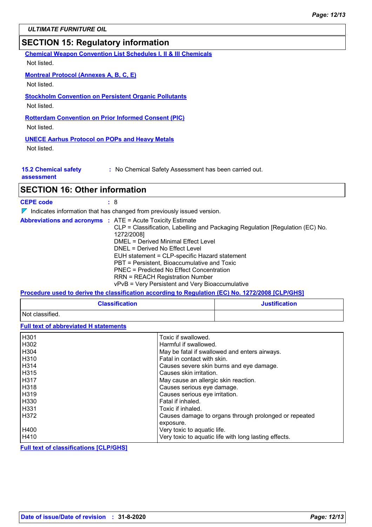### **SECTION 15: Regulatory information**

**Chemical Weapon Convention List Schedules I, II & III Chemicals**

Not listed.

#### **Montreal Protocol (Annexes A, B, C, E)**

Not listed.

#### **Stockholm Convention on Persistent Organic Pollutants**

Not listed.

#### **Rotterdam Convention on Prior Informed Consent (PIC)**

Not listed.

#### **UNECE Aarhus Protocol on POPs and Heavy Metals**

Not listed.

| <b>15.2 Chemical safety</b> |  |  |  |  |  |
|-----------------------------|--|--|--|--|--|
|-----------------------------|--|--|--|--|--|

**:** No Chemical Safety Assessment has been carried out.

**assessment**

### **SECTION 16: Other information**

**CEPE code :** 8

 $\nabla$  Indicates information that has changed from previously issued version.

|  |  | <b>Abbreviations and acronyms : ATE = Acute Toxicity Estimate</b><br>CLP = Classification, Labelling and Packaging Regulation [Regulation (EC) No. |
|--|--|----------------------------------------------------------------------------------------------------------------------------------------------------|
|  |  | 1272/2008]<br>DMEL = Derived Minimal Effect Level<br>DNEL = Derived No Effect Level                                                                |
|  |  | EUH statement = CLP-specific Hazard statement                                                                                                      |
|  |  | PBT = Persistent, Bioaccumulative and Toxic<br><b>PNEC</b> = Predicted No Effect Concentration                                                     |
|  |  | <b>RRN = REACH Registration Number</b><br>vPvB = Very Persistent and Very Bioaccumulative                                                          |

#### **Procedure used to derive the classification according to Regulation (EC) No. 1272/2008 [CLP/GHS]**

| <b>Classification</b> | <b>Justification</b> |  |
|-----------------------|----------------------|--|
| Not classified.       |                      |  |

**Full text of abbreviated H statements**

| H301             | Toxic if swallowed.                                   |
|------------------|-------------------------------------------------------|
| H302             | Harmful if swallowed.                                 |
| H <sub>304</sub> | May be fatal if swallowed and enters airways.         |
| H310             | Fatal in contact with skin.                           |
| H314             | Causes severe skin burns and eye damage.              |
| H315             | Causes skin irritation.                               |
| <b>H317</b>      | May cause an allergic skin reaction.                  |
| H318             | Causes serious eye damage.                            |
| H319             | Causes serious eye irritation.                        |
| H330             | Fatal if inhaled.                                     |
| H331             | Toxic if inhaled.                                     |
| H372             | Causes damage to organs through prolonged or repeated |
|                  | exposure.                                             |
| H400             | Very toxic to aquatic life.                           |
| H410             | Very toxic to aquatic life with long lasting effects. |

**Full text of classifications [CLP/GHS]**